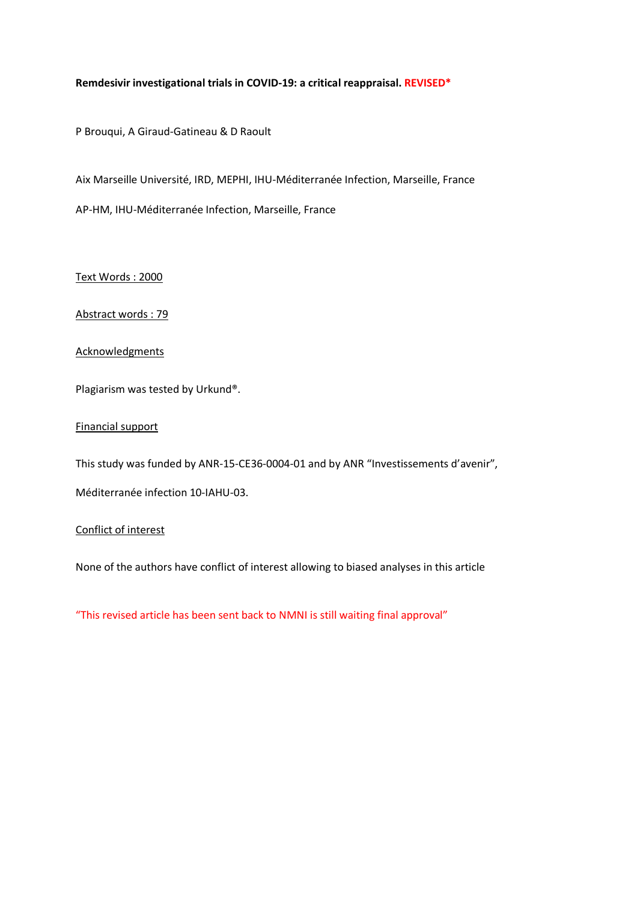# **Remdesivir investigational trials in COVID-19: a critical reappraisal. REVISED\***

P Brouqui, A Giraud-Gatineau & D Raoult

Aix Marseille Université, IRD, MEPHI, IHU-Méditerranée Infection, Marseille, France

AP-HM, IHU-Méditerranée Infection, Marseille, France

Text Words : 2000

Abstract words : 79

#### **Acknowledgments**

Plagiarism was tested by Urkund®.

Financial support

This study was funded by ANR-15-CE36-0004-01 and by ANR "Investissements d'avenir",

Méditerranée infection 10-IAHU-03.

Conflict of interest

None of the authors have conflict of interest allowing to biased analyses in this article

"This revised article has been sent back to NMNI is still waiting final approval"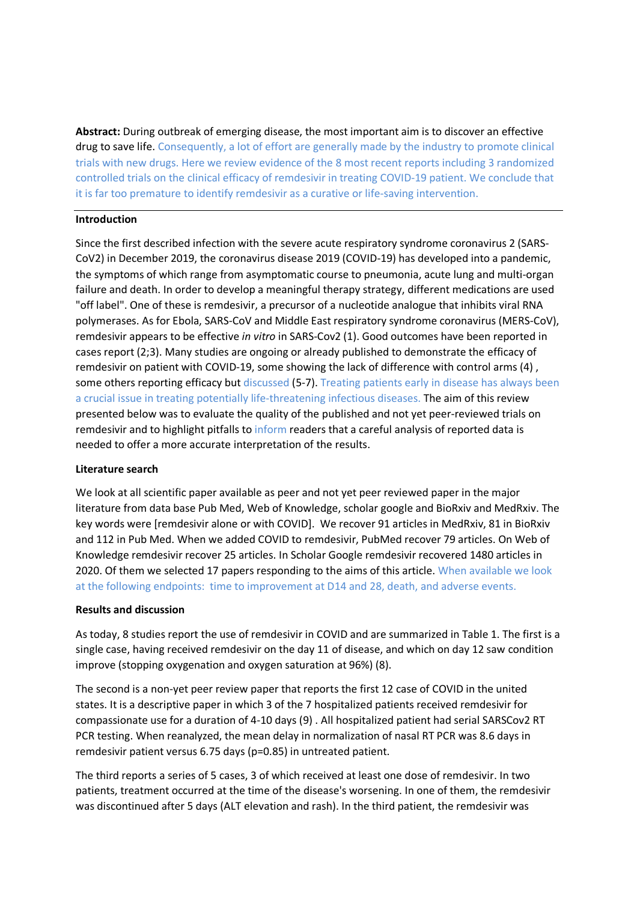**Abstract:** During outbreak of emerging disease, the most important aim is to discover an effective drug to save life. Consequently, a lot of effort are generally made by the industry to promote clinical trials with new drugs. Here we review evidence of the 8 most recent reports including 3 randomized controlled trials on the clinical efficacy of remdesivir in treating COVID-19 patient. We conclude that it is far too premature to identify remdesivir as a curative or life-saving intervention.

## **Introduction**

Since the first described infection with the severe acute respiratory syndrome coronavirus 2 (SARS-CoV2) in December 2019, the coronavirus disease 2019 (COVID-19) has developed into a pandemic, the symptoms of which range from asymptomatic course to pneumonia, acute lung and multi-organ failure and death. In order to develop a meaningful therapy strategy, different medications are used "off label". One of these is remdesivir, a precursor of a nucleotide analogue that inhibits viral RNA polymerases. As for Ebola, SARS-CoV and Middle East respiratory syndrome coronavirus (MERS-CoV), remdesivir appears to be effective *in vitro* in SARS-Cov2 (1). Good outcomes have been reported in cases report (2;3). Many studies are ongoing or already published to demonstrate the efficacy of remdesivir on patient with COVID-19, some showing the lack of difference with control arms (4) , some others reporting efficacy but discussed (5-7). Treating patients early in disease has always been a crucial issue in treating potentially life-threatening infectious diseases. The aim of this review presented below was to evaluate the quality of the published and not yet peer-reviewed trials on remdesivir and to highlight pitfalls to inform readers that a careful analysis of reported data is needed to offer a more accurate interpretation of the results.

# **Literature search**

We look at all scientific paper available as peer and not yet peer reviewed paper in the major literature from data base Pub Med, Web of Knowledge, scholar google and BioRxiv and MedRxiv. The key words were [remdesivir alone or with COVID]. We recover 91 articles in MedRxiv, 81 in BioRxiv and 112 in Pub Med. When we added COVID to remdesivir, PubMed recover 79 articles. On Web of Knowledge remdesivir recover 25 articles. In Scholar Google remdesivir recovered 1480 articles in 2020. Of them we selected 17 papers responding to the aims of this article. When available we look at the following endpoints: time to improvement at D14 and 28, death, and adverse events.

#### **Results and discussion**

As today, 8 studies report the use of remdesivir in COVID and are summarized in Table 1. The first is a single case, having received remdesivir on the day 11 of disease, and which on day 12 saw condition improve (stopping oxygenation and oxygen saturation at 96%) (8).

The second is a non-yet peer review paper that reports the first 12 case of COVID in the united states. It is a descriptive paper in which 3 of the 7 hospitalized patients received remdesivir for compassionate use for a duration of 4-10 days (9) . All hospitalized patient had serial SARSCov2 RT PCR testing. When reanalyzed, the mean delay in normalization of nasal RT PCR was 8.6 days in remdesivir patient versus 6.75 days (p=0.85) in untreated patient.

The third reports a series of 5 cases, 3 of which received at least one dose of remdesivir. In two patients, treatment occurred at the time of the disease's worsening. In one of them, the remdesivir was discontinued after 5 days (ALT elevation and rash). In the third patient, the remdesivir was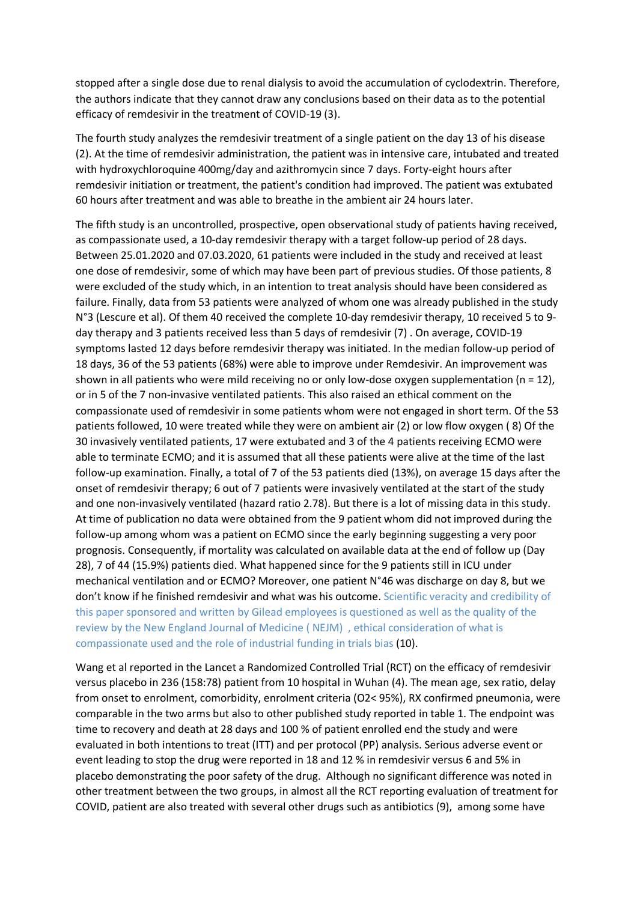stopped after a single dose due to renal dialysis to avoid the accumulation of cyclodextrin. Therefore, the authors indicate that they cannot draw any conclusions based on their data as to the potential efficacy of remdesivir in the treatment of COVID-19 (3).

The fourth study analyzes the remdesivir treatment of a single patient on the day 13 of his disease (2). At the time of remdesivir administration, the patient was in intensive care, intubated and treated with hydroxychloroquine 400mg/day and azithromycin since 7 days. Forty-eight hours after remdesivir initiation or treatment, the patient's condition had improved. The patient was extubated 60 hours after treatment and was able to breathe in the ambient air 24 hours later.

The fifth study is an uncontrolled, prospective, open observational study of patients having received, as compassionate used, a 10-day remdesivir therapy with a target follow-up period of 28 days. Between 25.01.2020 and 07.03.2020, 61 patients were included in the study and received at least one dose of remdesivir, some of which may have been part of previous studies. Of those patients, 8 were excluded of the study which, in an intention to treat analysis should have been considered as failure. Finally, data from 53 patients were analyzed of whom one was already published in the study N°3 (Lescure et al). Of them 40 received the complete 10-day remdesivir therapy, 10 received 5 to 9 day therapy and 3 patients received less than 5 days of remdesivir (7) . On average, COVID-19 symptoms lasted 12 days before remdesivir therapy was initiated. In the median follow-up period of 18 days, 36 of the 53 patients (68%) were able to improve under Remdesivir. An improvement was shown in all patients who were mild receiving no or only low-dose oxygen supplementation (n = 12), or in 5 of the 7 non-invasive ventilated patients. This also raised an ethical comment on the compassionate used of remdesivir in some patients whom were not engaged in short term. Of the 53 patients followed, 10 were treated while they were on ambient air (2) or low flow oxygen ( 8) Of the 30 invasively ventilated patients, 17 were extubated and 3 of the 4 patients receiving ECMO were able to terminate ECMO; and it is assumed that all these patients were alive at the time of the last follow-up examination. Finally, a total of 7 of the 53 patients died (13%), on average 15 days after the onset of remdesivir therapy; 6 out of 7 patients were invasively ventilated at the start of the study and one non-invasively ventilated (hazard ratio 2.78). But there is a lot of missing data in this study. At time of publication no data were obtained from the 9 patient whom did not improved during the follow-up among whom was a patient on ECMO since the early beginning suggesting a very poor prognosis. Consequently, if mortality was calculated on available data at the end of follow up (Day 28), 7 of 44 (15.9%) patients died. What happened since for the 9 patients still in ICU under mechanical ventilation and or ECMO? Moreover, one patient N°46 was discharge on day 8, but we don't know if he finished remdesivir and what was his outcome. Scientific veracity and credibility of this paper sponsored and written by Gilead employees is questioned as well as the quality of the review by the New England Journal of Medicine ( NEJM) , ethical consideration of what is compassionate used and the role of industrial funding in trials bias (10).

Wang et al reported in the Lancet a Randomized Controlled Trial (RCT) on the efficacy of remdesivir versus placebo in 236 (158:78) patient from 10 hospital in Wuhan (4). The mean age, sex ratio, delay from onset to enrolment, comorbidity, enrolment criteria (O2< 95%), RX confirmed pneumonia, were comparable in the two arms but also to other published study reported in table 1. The endpoint was time to recovery and death at 28 days and 100 % of patient enrolled end the study and were evaluated in both intentions to treat (ITT) and per protocol (PP) analysis. Serious adverse event or event leading to stop the drug were reported in 18 and 12 % in remdesivir versus 6 and 5% in placebo demonstrating the poor safety of the drug. Although no significant difference was noted in other treatment between the two groups, in almost all the RCT reporting evaluation of treatment for COVID, patient are also treated with several other drugs such as antibiotics (9), among some have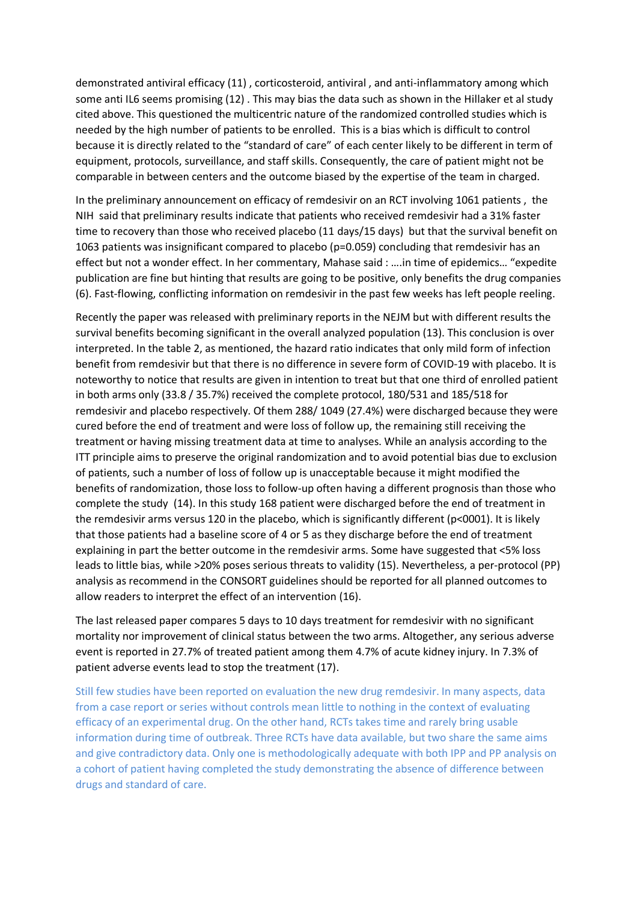demonstrated antiviral efficacy (11) , corticosteroid, antiviral , and anti-inflammatory among which some anti IL6 seems promising (12) . This may bias the data such as shown in the Hillaker et al study cited above. This questioned the multicentric nature of the randomized controlled studies which is needed by the high number of patients to be enrolled. This is a bias which is difficult to control because it is directly related to the "standard of care" of each center likely to be different in term of equipment, protocols, surveillance, and staff skills. Consequently, the care of patient might not be comparable in between centers and the outcome biased by the expertise of the team in charged.

In the preliminary announcement on efficacy of remdesivir on an RCT involving 1061 patients , the NIH said that preliminary results indicate that patients who received remdesivir had a 31% faster time to recovery than those who received placebo (11 days/15 days) but that the survival benefit on 1063 patients was insignificant compared to placebo (p=0.059) concluding that remdesivir has an effect but not a wonder effect. In her commentary, Mahase said : ….in time of epidemics… "expedite publication are fine but hinting that results are going to be positive, only benefits the drug companies (6). Fast-flowing, conflicting information on remdesivir in the past few weeks has left people reeling.

Recently the paper was released with preliminary reports in the NEJM but with different results the survival benefits becoming significant in the overall analyzed population (13). This conclusion is over interpreted. In the table 2, as mentioned, the hazard ratio indicates that only mild form of infection benefit from remdesivir but that there is no difference in severe form of COVID-19 with placebo. It is noteworthy to notice that results are given in intention to treat but that one third of enrolled patient in both arms only (33.8 / 35.7%) received the complete protocol, 180/531 and 185/518 for remdesivir and placebo respectively. Of them 288/ 1049 (27.4%) were discharged because they were cured before the end of treatment and were loss of follow up, the remaining still receiving the treatment or having missing treatment data at time to analyses. While an analysis according to the ITT principle aims to preserve the original randomization and to avoid potential bias due to exclusion of patients, such a number of loss of follow up is unacceptable because it might modified the benefits of randomization, those loss to follow-up often having a different prognosis than those who complete the study (14). In this study 168 patient were discharged before the end of treatment in the remdesivir arms versus 120 in the placebo, which is significantly different (p<0001). It is likely that those patients had a baseline score of 4 or 5 as they discharge before the end of treatment explaining in part the better outcome in the remdesivir arms. Some have suggested that <5% loss leads to little bias, while >20% poses serious threats to validity (15). Nevertheless, a per-protocol (PP) analysis as recommend in the CONSORT guidelines should be reported for all planned outcomes to allow readers to interpret the effect of an intervention (16).

The last released paper compares 5 days to 10 days treatment for remdesivir with no significant mortality nor improvement of clinical status between the two arms. Altogether, any serious adverse event is reported in 27.7% of treated patient among them 4.7% of acute kidney injury. In 7.3% of patient adverse events lead to stop the treatment (17).

Still few studies have been reported on evaluation the new drug remdesivir. In many aspects, data from a case report or series without controls mean little to nothing in the context of evaluating efficacy of an experimental drug. On the other hand, RCTs takes time and rarely bring usable information during time of outbreak. Three RCTs have data available, but two share the same aims and give contradictory data. Only one is methodologically adequate with both IPP and PP analysis on a cohort of patient having completed the study demonstrating the absence of difference between drugs and standard of care.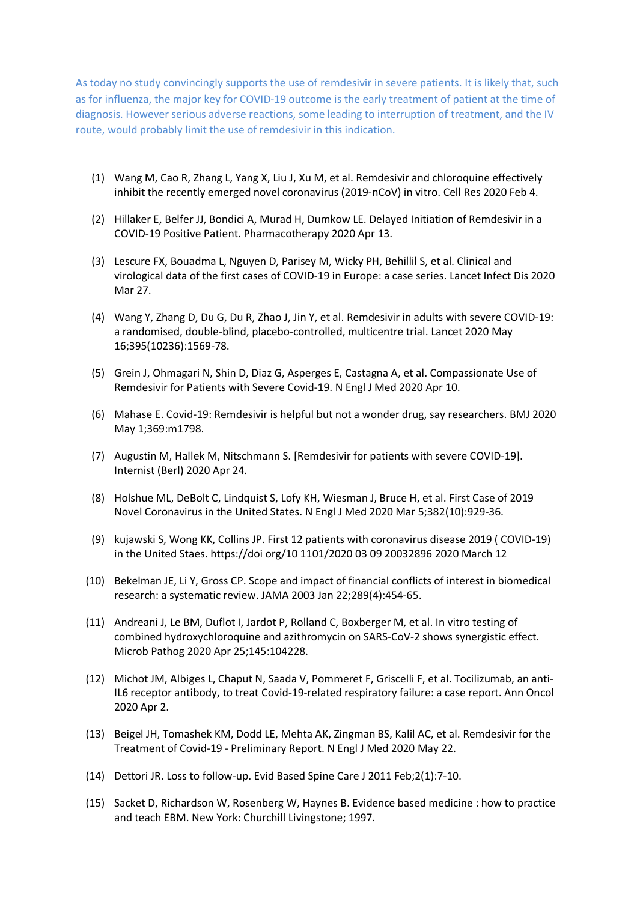As today no study convincingly supports the use of remdesivir in severe patients. It is likely that, such as for influenza, the major key for COVID-19 outcome is the early treatment of patient at the time of diagnosis. However serious adverse reactions, some leading to interruption of treatment, and the IV route, would probably limit the use of remdesivir in this indication.

- (1) Wang M, Cao R, Zhang L, Yang X, Liu J, Xu M, et al. Remdesivir and chloroquine effectively inhibit the recently emerged novel coronavirus (2019-nCoV) in vitro. Cell Res 2020 Feb 4.
- (2) Hillaker E, Belfer JJ, Bondici A, Murad H, Dumkow LE. Delayed Initiation of Remdesivir in a COVID-19 Positive Patient. Pharmacotherapy 2020 Apr 13.
- (3) Lescure FX, Bouadma L, Nguyen D, Parisey M, Wicky PH, Behillil S, et al. Clinical and virological data of the first cases of COVID-19 in Europe: a case series. Lancet Infect Dis 2020 Mar 27.
- (4) Wang Y, Zhang D, Du G, Du R, Zhao J, Jin Y, et al. Remdesivir in adults with severe COVID-19: a randomised, double-blind, placebo-controlled, multicentre trial. Lancet 2020 May 16;395(10236):1569-78.
- (5) Grein J, Ohmagari N, Shin D, Diaz G, Asperges E, Castagna A, et al. Compassionate Use of Remdesivir for Patients with Severe Covid-19. N Engl J Med 2020 Apr 10.
- (6) Mahase E. Covid-19: Remdesivir is helpful but not a wonder drug, say researchers. BMJ 2020 May 1;369:m1798.
- (7) Augustin M, Hallek M, Nitschmann S. [Remdesivir for patients with severe COVID-19]. Internist (Berl) 2020 Apr 24.
- (8) Holshue ML, DeBolt C, Lindquist S, Lofy KH, Wiesman J, Bruce H, et al. First Case of 2019 Novel Coronavirus in the United States. N Engl J Med 2020 Mar 5;382(10):929-36.
- (9) kujawski S, Wong KK, Collins JP. First 12 patients with coronavirus disease 2019 ( COVID-19) in the United Staes. https://doi org/10 1101/2020 03 09 20032896 2020 March 12
- (10) Bekelman JE, Li Y, Gross CP. Scope and impact of financial conflicts of interest in biomedical research: a systematic review. JAMA 2003 Jan 22;289(4):454-65.
- (11) Andreani J, Le BM, Duflot I, Jardot P, Rolland C, Boxberger M, et al. In vitro testing of combined hydroxychloroquine and azithromycin on SARS-CoV-2 shows synergistic effect. Microb Pathog 2020 Apr 25;145:104228.
- (12) Michot JM, Albiges L, Chaput N, Saada V, Pommeret F, Griscelli F, et al. Tocilizumab, an anti-IL6 receptor antibody, to treat Covid-19-related respiratory failure: a case report. Ann Oncol 2020 Apr 2.
- (13) Beigel JH, Tomashek KM, Dodd LE, Mehta AK, Zingman BS, Kalil AC, et al. Remdesivir for the Treatment of Covid-19 - Preliminary Report. N Engl J Med 2020 May 22.
- (14) Dettori JR. Loss to follow-up. Evid Based Spine Care J 2011 Feb;2(1):7-10.
- (15) Sacket D, Richardson W, Rosenberg W, Haynes B. Evidence based medicine : how to practice and teach EBM. New York: Churchill Livingstone; 1997.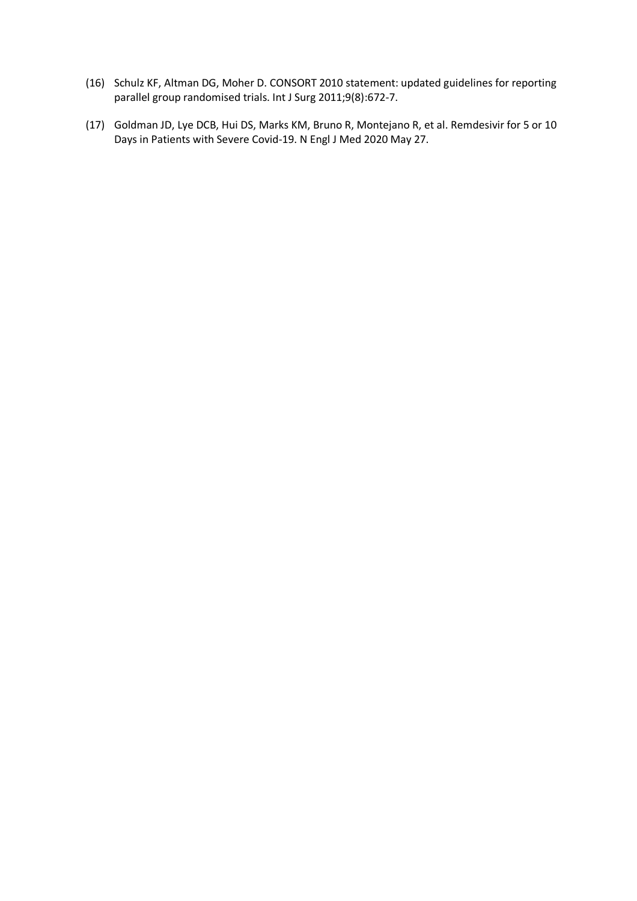- (16) Schulz KF, Altman DG, Moher D. CONSORT 2010 statement: updated guidelines for reporting parallel group randomised trials. Int J Surg 2011;9(8):672-7.
- (17) Goldman JD, Lye DCB, Hui DS, Marks KM, Bruno R, Montejano R, et al. Remdesivir for 5 or 10 Days in Patients with Severe Covid-19. N Engl J Med 2020 May 27.